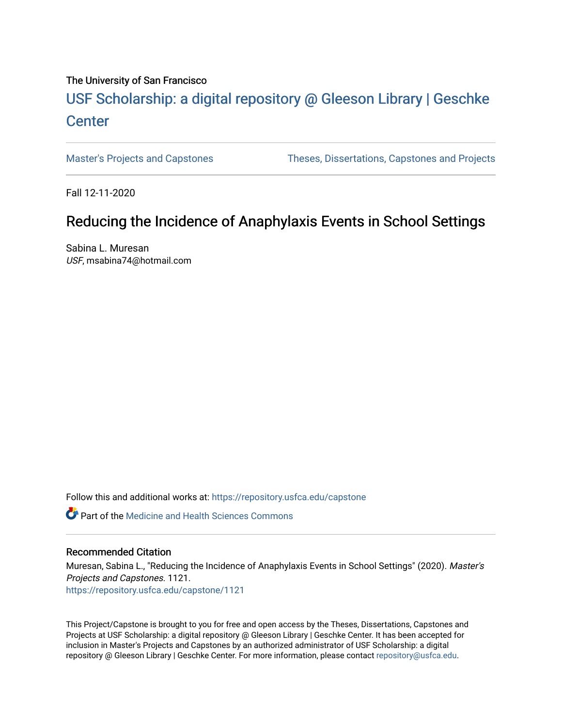#### The University of San Francisco

# USF Scholarship: [a digital repository @ Gleeson Libr](https://repository.usfca.edu/)ary | Geschke **Center**

[Master's Projects and Capstones](https://repository.usfca.edu/capstone) [Theses, Dissertations, Capstones and Projects](https://repository.usfca.edu/etd) 

Fall 12-11-2020

## Reducing the Incidence of Anaphylaxis Events in School Settings

Sabina L. Muresan USF, msabina74@hotmail.com

Follow this and additional works at: [https://repository.usfca.edu/capstone](https://repository.usfca.edu/capstone?utm_source=repository.usfca.edu%2Fcapstone%2F1121&utm_medium=PDF&utm_campaign=PDFCoverPages) 

**C** Part of the Medicine and Health Sciences Commons

#### Recommended Citation

Muresan, Sabina L., "Reducing the Incidence of Anaphylaxis Events in School Settings" (2020). Master's Projects and Capstones. 1121. [https://repository.usfca.edu/capstone/1121](https://repository.usfca.edu/capstone/1121?utm_source=repository.usfca.edu%2Fcapstone%2F1121&utm_medium=PDF&utm_campaign=PDFCoverPages) 

This Project/Capstone is brought to you for free and open access by the Theses, Dissertations, Capstones and Projects at USF Scholarship: a digital repository @ Gleeson Library | Geschke Center. It has been accepted for inclusion in Master's Projects and Capstones by an authorized administrator of USF Scholarship: a digital repository @ Gleeson Library | Geschke Center. For more information, please contact [repository@usfca.edu.](mailto:repository@usfca.edu)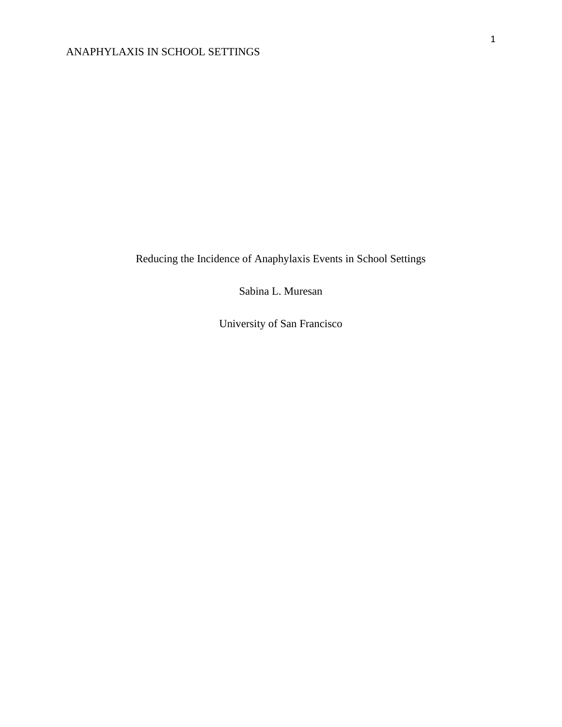Reducing the Incidence of Anaphylaxis Events in School Settings

Sabina L. Muresan

University of San Francisco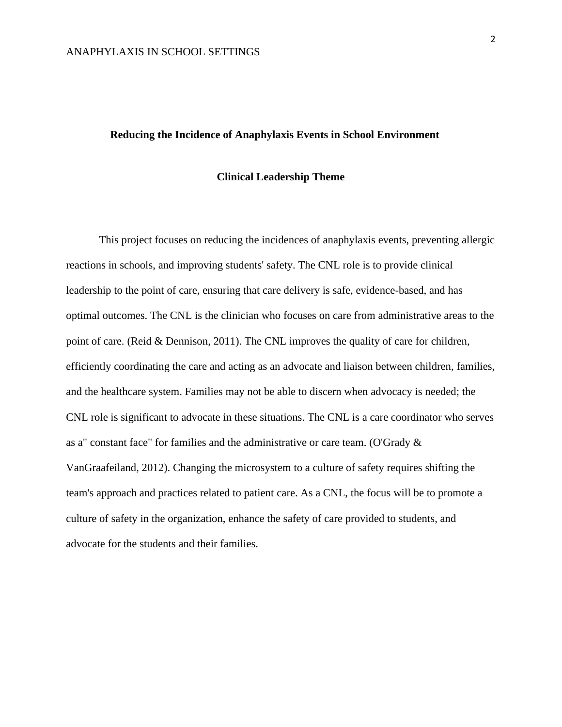#### **Reducing the Incidence of Anaphylaxis Events in School Environment**

#### **Clinical Leadership Theme**

This project focuses on reducing the incidences of anaphylaxis events, preventing allergic reactions in schools, and improving students' safety. The CNL role is to provide clinical leadership to the point of care, ensuring that care delivery is safe, evidence-based, and has optimal outcomes. The CNL is the clinician who focuses on care from administrative areas to the point of care. (Reid & Dennison, 2011). The CNL improves the quality of care for children, efficiently coordinating the care and acting as an advocate and liaison between children, families, and the healthcare system. Families may not be able to discern when advocacy is needed; the CNL role is significant to advocate in these situations. The CNL is a care coordinator who serves as a" constant face" for families and the administrative or care team. (O'Grady & VanGraafeiland, 2012). Changing the microsystem to a culture of safety requires shifting the team's approach and practices related to patient care. As a CNL, the focus will be to promote a culture of safety in the organization, enhance the safety of care provided to students, and advocate for the students and their families.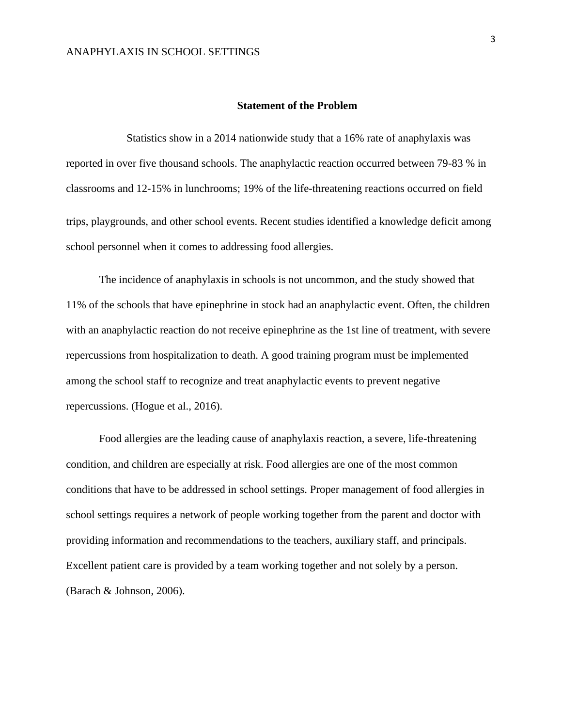#### **Statement of the Problem**

 Statistics show in a 2014 nationwide study that a 16% rate of anaphylaxis was reported in over five thousand schools. The anaphylactic reaction occurred between 79-83 % in classrooms and 12-15% in lunchrooms; 19% of the life-threatening reactions occurred on field trips, playgrounds, and other school events. Recent studies identified a knowledge deficit among school personnel when it comes to addressing food allergies.

The incidence of anaphylaxis in schools is not uncommon, and the study showed that 11% of the schools that have epinephrine in stock had an anaphylactic event. Often, the children with an anaphylactic reaction do not receive epinephrine as the 1st line of treatment, with severe repercussions from hospitalization to death. A good training program must be implemented among the school staff to recognize and treat anaphylactic events to prevent negative repercussions. (Hogue et al., 2016).

Food allergies are the leading cause of anaphylaxis reaction, a severe, life-threatening condition, and children are especially at risk. Food allergies are one of the most common conditions that have to be addressed in school settings. Proper management of food allergies in school settings requires a network of people working together from the parent and doctor with providing information and recommendations to the teachers, auxiliary staff, and principals. Excellent patient care is provided by a team working together and not solely by a person. (Barach & Johnson, 2006).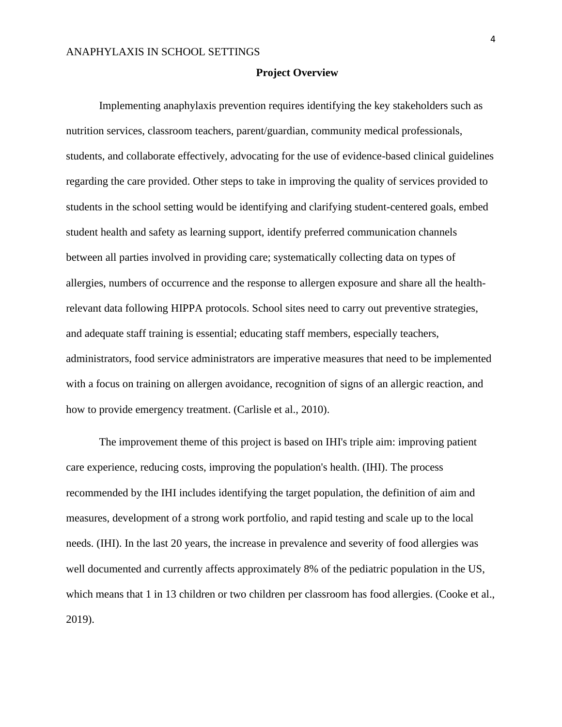#### **Project Overview**

Implementing anaphylaxis prevention requires identifying the key stakeholders such as nutrition services, classroom teachers, parent/guardian, community medical professionals, students, and collaborate effectively, advocating for the use of evidence-based clinical guidelines regarding the care provided. Other steps to take in improving the quality of services provided to students in the school setting would be identifying and clarifying student-centered goals, embed student health and safety as learning support, identify preferred communication channels between all parties involved in providing care; systematically collecting data on types of allergies, numbers of occurrence and the response to allergen exposure and share all the healthrelevant data following HIPPA protocols. School sites need to carry out preventive strategies, and adequate staff training is essential; educating staff members, especially teachers, administrators, food service administrators are imperative measures that need to be implemented with a focus on training on allergen avoidance, recognition of signs of an allergic reaction, and how to provide emergency treatment. (Carlisle et al., 2010).

The improvement theme of this project is based on IHI's triple aim: improving patient care experience, reducing costs, improving the population's health. (IHI). The process recommended by the IHI includes identifying the target population, the definition of aim and measures, development of a strong work portfolio, and rapid testing and scale up to the local needs. (IHI). In the last 20 years, the increase in prevalence and severity of food allergies was well documented and currently affects approximately 8% of the pediatric population in the US, which means that 1 in 13 children or two children per classroom has food allergies. (Cooke et al., 2019).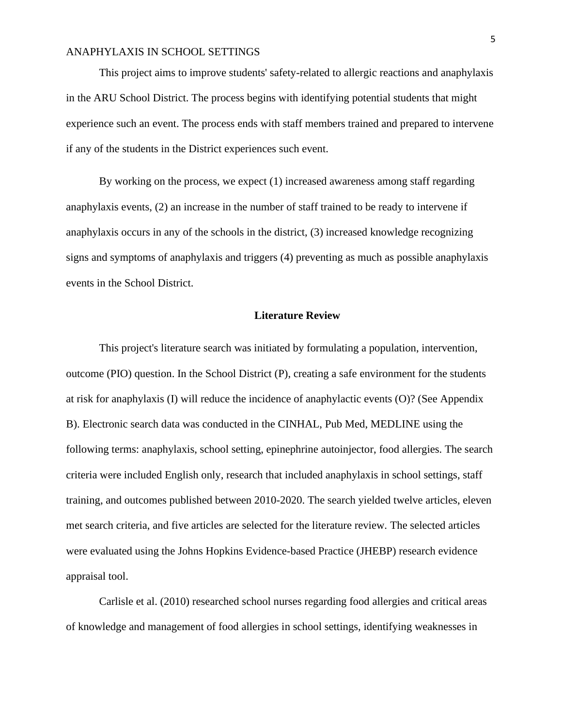This project aims to improve students' safety-related to allergic reactions and anaphylaxis in the ARU School District. The process begins with identifying potential students that might experience such an event. The process ends with staff members trained and prepared to intervene if any of the students in the District experiences such event.

By working on the process, we expect (1) increased awareness among staff regarding anaphylaxis events, (2) an increase in the number of staff trained to be ready to intervene if anaphylaxis occurs in any of the schools in the district, (3) increased knowledge recognizing signs and symptoms of anaphylaxis and triggers (4) preventing as much as possible anaphylaxis events in the School District.

#### **Literature Review**

This project's literature search was initiated by formulating a population, intervention, outcome (PIO) question. In the School District (P), creating a safe environment for the students at risk for anaphylaxis (I) will reduce the incidence of anaphylactic events (O)? (See Appendix B). Electronic search data was conducted in the CINHAL, Pub Med, MEDLINE using the following terms: anaphylaxis, school setting, epinephrine autoinjector, food allergies. The search criteria were included English only, research that included anaphylaxis in school settings, staff training, and outcomes published between 2010-2020. The search yielded twelve articles, eleven met search criteria, and five articles are selected for the literature review. The selected articles were evaluated using the Johns Hopkins Evidence-based Practice (JHEBP) research evidence appraisal tool.

Carlisle et al. (2010) researched school nurses regarding food allergies and critical areas of knowledge and management of food allergies in school settings, identifying weaknesses in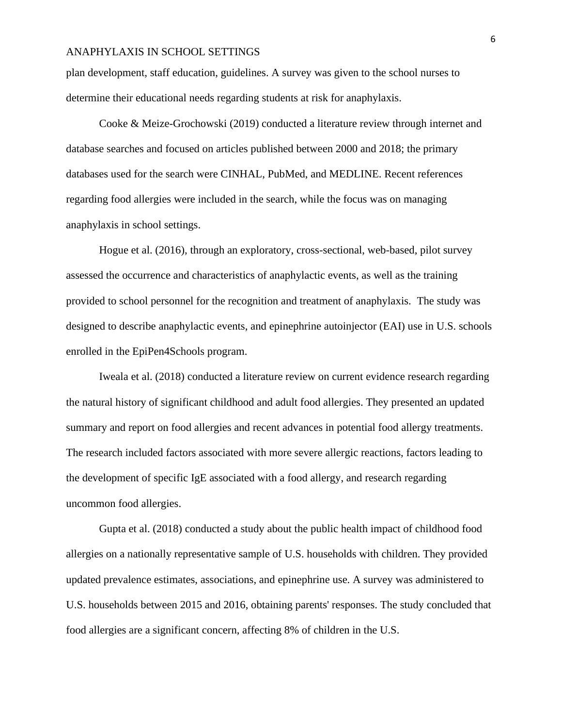plan development, staff education, guidelines. A survey was given to the school nurses to determine their educational needs regarding students at risk for anaphylaxis.

Cooke & Meize-Grochowski (2019) conducted a literature review through internet and database searches and focused on articles published between 2000 and 2018; the primary databases used for the search were CINHAL, PubMed, and MEDLINE. Recent references regarding food allergies were included in the search, while the focus was on managing anaphylaxis in school settings.

Hogue et al. (2016), through an exploratory, cross-sectional, web-based, pilot survey assessed the occurrence and characteristics of anaphylactic events, as well as the training provided to school personnel for the recognition and treatment of anaphylaxis. The study was designed to describe anaphylactic events, and epinephrine autoinjector (EAI) use in U.S. schools enrolled in the EpiPen4Schools program.

Iweala et al. (2018) conducted a literature review on current evidence research regarding the natural history of significant childhood and adult food allergies. They presented an updated summary and report on food allergies and recent advances in potential food allergy treatments. The research included factors associated with more severe allergic reactions, factors leading to the development of specific IgE associated with a food allergy, and research regarding uncommon food allergies.

Gupta et al. (2018) conducted a study about the public health impact of childhood food allergies on a nationally representative sample of U.S. households with children. They provided updated prevalence estimates, associations, and epinephrine use. A survey was administered to U.S. households between 2015 and 2016, obtaining parents' responses. The study concluded that food allergies are a significant concern, affecting 8% of children in the U.S.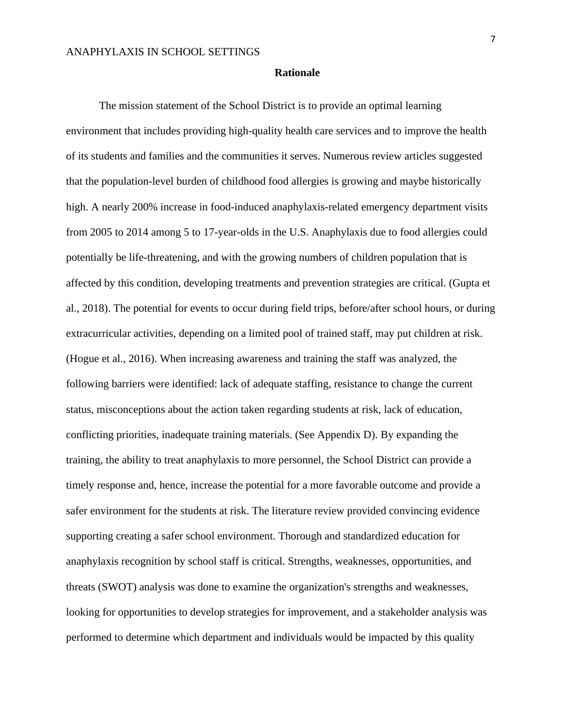#### **Rationale**

The mission statement of the School District is to provide an optimal learning environment that includes providing high-quality health care services and to improve the health of its students and families and the communities it serves. Numerous review articles suggested that the population-level burden of childhood food allergies is growing and maybe historically high. A nearly 200% increase in food-induced anaphylaxis-related emergency department visits from 2005 to 2014 among 5 to 17-year-olds in the U.S. Anaphylaxis due to food allergies could potentially be life-threatening, and with the growing numbers of children population that is affected by this condition, developing treatments and prevention strategies are critical. (Gupta et al., 2018). The potential for events to occur during field trips, before/after school hours, or during extracurricular activities, depending on a limited pool of trained staff, may put children at risk. (Hogue et al., 2016). When increasing awareness and training the staff was analyzed, the following barriers were identified: lack of adequate staffing, resistance to change the current status, misconceptions about the action taken regarding students at risk, lack of education, conflicting priorities, inadequate training materials. (See Appendix D). By expanding the training, the ability to treat anaphylaxis to more personnel, the School District can provide a timely response and, hence, increase the potential for a more favorable outcome and provide a safer environment for the students at risk. The literature review provided convincing evidence supporting creating a safer school environment. Thorough and standardized education for anaphylaxis recognition by school staff is critical. Strengths, weaknesses, opportunities, and threats (SWOT) analysis was done to examine the organization's strengths and weaknesses, looking for opportunities to develop strategies for improvement, and a stakeholder analysis was performed to determine which department and individuals would be impacted by this quality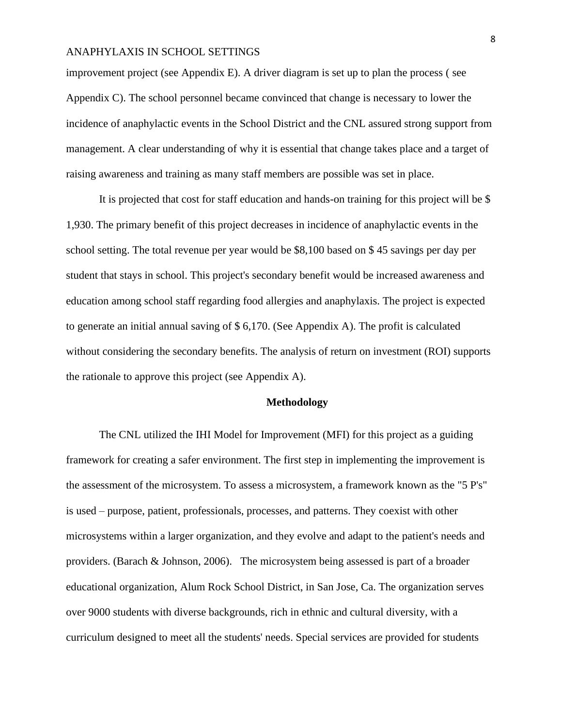improvement project (see Appendix E). A driver diagram is set up to plan the process ( see Appendix C). The school personnel became convinced that change is necessary to lower the incidence of anaphylactic events in the School District and the CNL assured strong support from management. A clear understanding of why it is essential that change takes place and a target of raising awareness and training as many staff members are possible was set in place.

It is projected that cost for staff education and hands-on training for this project will be \$ 1,930. The primary benefit of this project decreases in incidence of anaphylactic events in the school setting. The total revenue per year would be \$8,100 based on \$ 45 savings per day per student that stays in school. This project's secondary benefit would be increased awareness and education among school staff regarding food allergies and anaphylaxis. The project is expected to generate an initial annual saving of \$ 6,170. (See Appendix A). The profit is calculated without considering the secondary benefits. The analysis of return on investment (ROI) supports the rationale to approve this project (see Appendix A).

#### **Methodology**

The CNL utilized the IHI Model for Improvement (MFI) for this project as a guiding framework for creating a safer environment. The first step in implementing the improvement is the assessment of the microsystem. To assess a microsystem, a framework known as the "5 P's" is used – purpose, patient, professionals, processes, and patterns. They coexist with other microsystems within a larger organization, and they evolve and adapt to the patient's needs and providers. (Barach & Johnson, 2006). The microsystem being assessed is part of a broader educational organization, Alum Rock School District, in San Jose, Ca. The organization serves over 9000 students with diverse backgrounds, rich in ethnic and cultural diversity, with a curriculum designed to meet all the students' needs. Special services are provided for students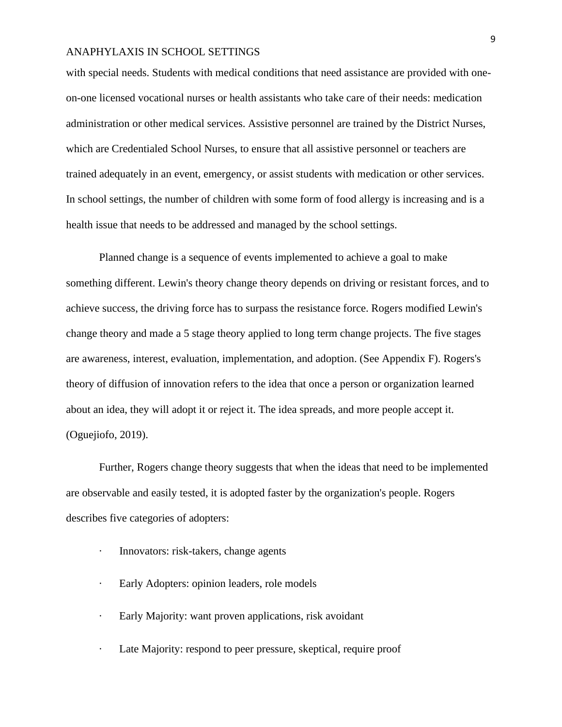with special needs. Students with medical conditions that need assistance are provided with oneon-one licensed vocational nurses or health assistants who take care of their needs: medication administration or other medical services. Assistive personnel are trained by the District Nurses, which are Credentialed School Nurses, to ensure that all assistive personnel or teachers are trained adequately in an event, emergency, or assist students with medication or other services. In school settings, the number of children with some form of food allergy is increasing and is a health issue that needs to be addressed and managed by the school settings.

Planned change is a sequence of events implemented to achieve a goal to make something different. Lewin's theory change theory depends on driving or resistant forces, and to achieve success, the driving force has to surpass the resistance force. Rogers modified Lewin's change theory and made a 5 stage theory applied to long term change projects. The five stages are awareness, interest, evaluation, implementation, and adoption. (See Appendix F). Rogers's theory of diffusion of innovation refers to the idea that once a person or organization learned about an idea, they will adopt it or reject it. The idea spreads, and more people accept it. (Oguejiofo, 2019).

Further, Rogers change theory suggests that when the ideas that need to be implemented are observable and easily tested, it is adopted faster by the organization's people. Rogers describes five categories of adopters:

- · Innovators: risk-takers, change agents
- · Early Adopters: opinion leaders, role models
- · Early Majority: want proven applications, risk avoidant
- Late Majority: respond to peer pressure, skeptical, require proof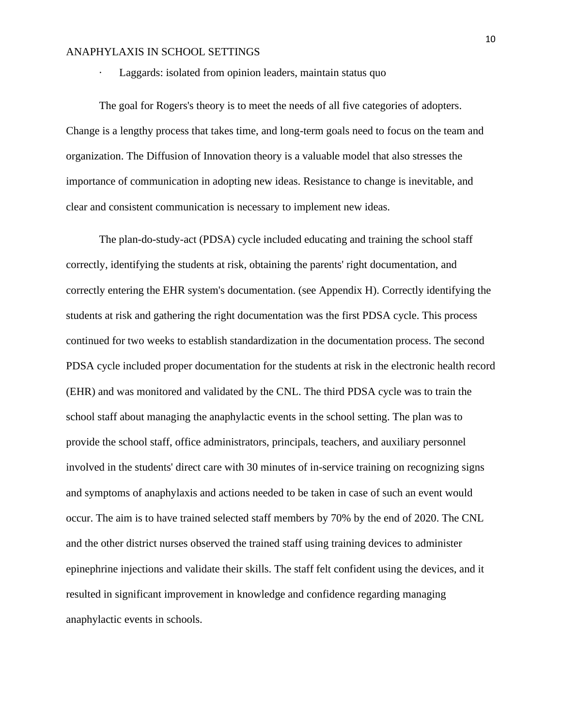Laggards: isolated from opinion leaders, maintain status quo

The goal for Rogers's theory is to meet the needs of all five categories of adopters. Change is a lengthy process that takes time, and long-term goals need to focus on the team and organization. The Diffusion of Innovation theory is a valuable model that also stresses the importance of communication in adopting new ideas. Resistance to change is inevitable, and clear and consistent communication is necessary to implement new ideas.

The plan-do-study-act (PDSA) cycle included educating and training the school staff correctly, identifying the students at risk, obtaining the parents' right documentation, and correctly entering the EHR system's documentation. (see Appendix H). Correctly identifying the students at risk and gathering the right documentation was the first PDSA cycle. This process continued for two weeks to establish standardization in the documentation process. The second PDSA cycle included proper documentation for the students at risk in the electronic health record (EHR) and was monitored and validated by the CNL. The third PDSA cycle was to train the school staff about managing the anaphylactic events in the school setting. The plan was to provide the school staff, office administrators, principals, teachers, and auxiliary personnel involved in the students' direct care with 30 minutes of in-service training on recognizing signs and symptoms of anaphylaxis and actions needed to be taken in case of such an event would occur. The aim is to have trained selected staff members by 70% by the end of 2020. The CNL and the other district nurses observed the trained staff using training devices to administer epinephrine injections and validate their skills. The staff felt confident using the devices, and it resulted in significant improvement in knowledge and confidence regarding managing anaphylactic events in schools.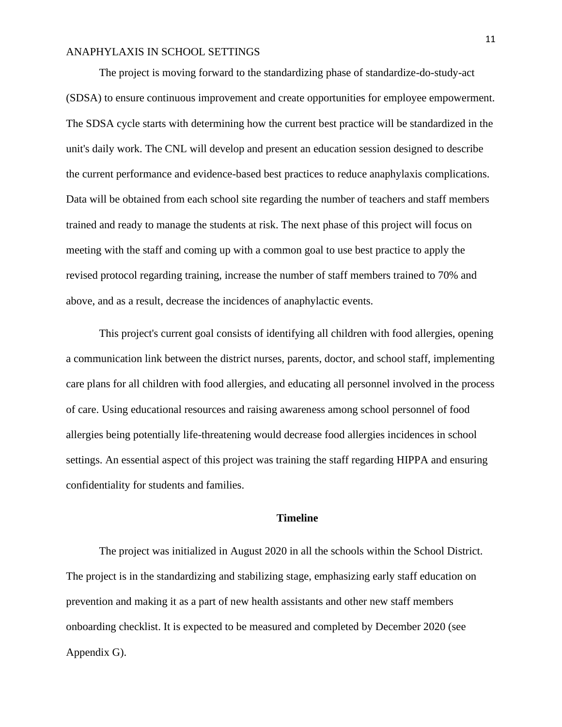The project is moving forward to the standardizing phase of standardize-do-study-act (SDSA) to ensure continuous improvement and create opportunities for employee empowerment. The SDSA cycle starts with determining how the current best practice will be standardized in the unit's daily work. The CNL will develop and present an education session designed to describe the current performance and evidence-based best practices to reduce anaphylaxis complications. Data will be obtained from each school site regarding the number of teachers and staff members trained and ready to manage the students at risk. The next phase of this project will focus on meeting with the staff and coming up with a common goal to use best practice to apply the revised protocol regarding training, increase the number of staff members trained to 70% and above, and as a result, decrease the incidences of anaphylactic events.

This project's current goal consists of identifying all children with food allergies, opening a communication link between the district nurses, parents, doctor, and school staff, implementing care plans for all children with food allergies, and educating all personnel involved in the process of care. Using educational resources and raising awareness among school personnel of food allergies being potentially life-threatening would decrease food allergies incidences in school settings. An essential aspect of this project was training the staff regarding HIPPA and ensuring confidentiality for students and families.

#### **Timeline**

The project was initialized in August 2020 in all the schools within the School District. The project is in the standardizing and stabilizing stage, emphasizing early staff education on prevention and making it as a part of new health assistants and other new staff members onboarding checklist. It is expected to be measured and completed by December 2020 (see Appendix G).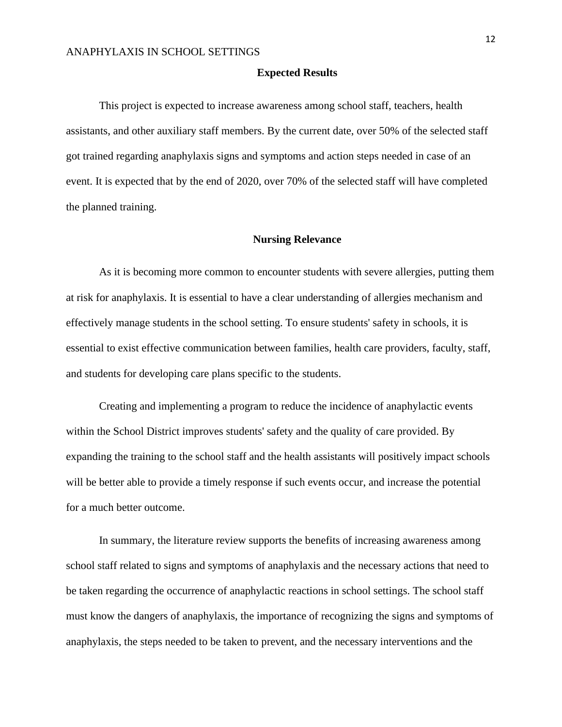#### **Expected Results**

This project is expected to increase awareness among school staff, teachers, health assistants, and other auxiliary staff members. By the current date, over 50% of the selected staff got trained regarding anaphylaxis signs and symptoms and action steps needed in case of an event. It is expected that by the end of 2020, over 70% of the selected staff will have completed the planned training.

#### **Nursing Relevance**

As it is becoming more common to encounter students with severe allergies, putting them at risk for anaphylaxis. It is essential to have a clear understanding of allergies mechanism and effectively manage students in the school setting. To ensure students' safety in schools, it is essential to exist effective communication between families, health care providers, faculty, staff, and students for developing care plans specific to the students.

Creating and implementing a program to reduce the incidence of anaphylactic events within the School District improves students' safety and the quality of care provided. By expanding the training to the school staff and the health assistants will positively impact schools will be better able to provide a timely response if such events occur, and increase the potential for a much better outcome.

In summary, the literature review supports the benefits of increasing awareness among school staff related to signs and symptoms of anaphylaxis and the necessary actions that need to be taken regarding the occurrence of anaphylactic reactions in school settings. The school staff must know the dangers of anaphylaxis, the importance of recognizing the signs and symptoms of anaphylaxis, the steps needed to be taken to prevent, and the necessary interventions and the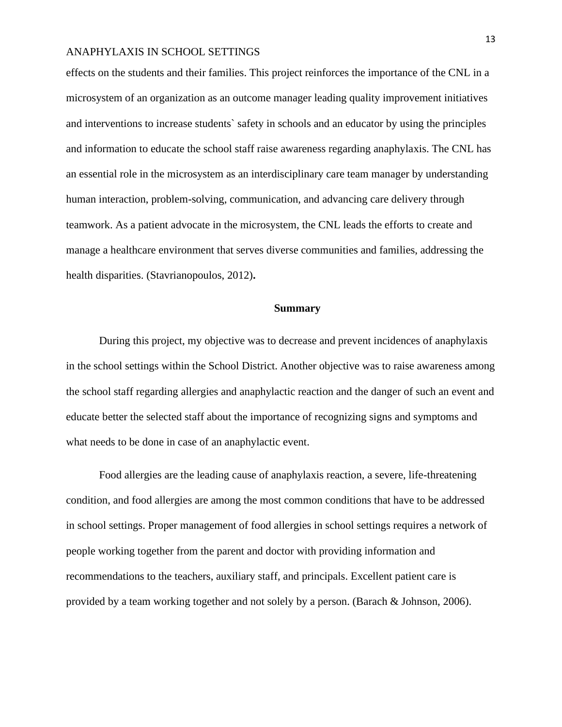effects on the students and their families. This project reinforces the importance of the CNL in a microsystem of an organization as an outcome manager leading quality improvement initiatives and interventions to increase students` safety in schools and an educator by using the principles and information to educate the school staff raise awareness regarding anaphylaxis. The CNL has an essential role in the microsystem as an interdisciplinary care team manager by understanding human interaction, problem-solving, communication, and advancing care delivery through teamwork. As a patient advocate in the microsystem, the CNL leads the efforts to create and manage a healthcare environment that serves diverse communities and families, addressing the health disparities. (Stavrianopoulos, 2012)**.**

#### **Summary**

During this project, my objective was to decrease and prevent incidences of anaphylaxis in the school settings within the School District. Another objective was to raise awareness among the school staff regarding allergies and anaphylactic reaction and the danger of such an event and educate better the selected staff about the importance of recognizing signs and symptoms and what needs to be done in case of an anaphylactic event.

Food allergies are the leading cause of anaphylaxis reaction, a severe, life-threatening condition, and food allergies are among the most common conditions that have to be addressed in school settings. Proper management of food allergies in school settings requires a network of people working together from the parent and doctor with providing information and recommendations to the teachers, auxiliary staff, and principals. Excellent patient care is provided by a team working together and not solely by a person. (Barach & Johnson, 2006).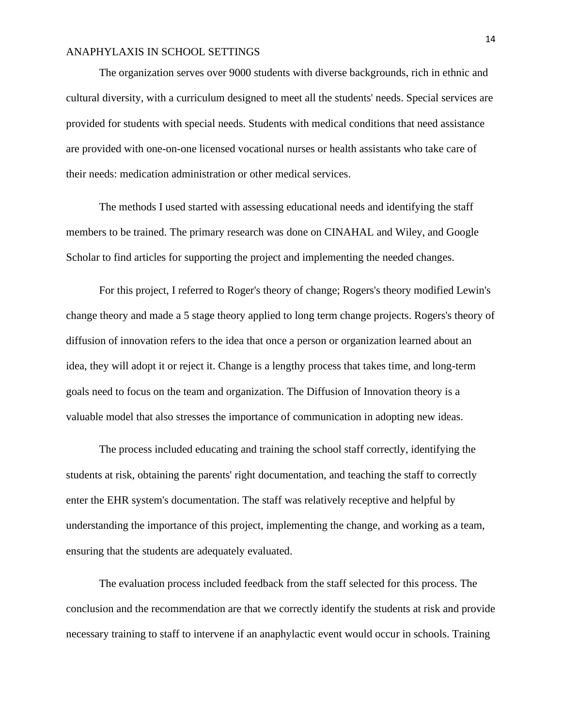The organization serves over 9000 students with diverse backgrounds, rich in ethnic and cultural diversity, with a curriculum designed to meet all the students' needs. Special services are provided for students with special needs. Students with medical conditions that need assistance are provided with one-on-one licensed vocational nurses or health assistants who take care of their needs: medication administration or other medical services.

The methods I used started with assessing educational needs and identifying the staff members to be trained. The primary research was done on CINAHAL and Wiley, and Google Scholar to find articles for supporting the project and implementing the needed changes.

For this project, I referred to Roger's theory of change; Rogers's theory modified Lewin's change theory and made a 5 stage theory applied to long term change projects. Rogers's theory of diffusion of innovation refers to the idea that once a person or organization learned about an idea, they will adopt it or reject it. Change is a lengthy process that takes time, and long-term goals need to focus on the team and organization. The Diffusion of Innovation theory is a valuable model that also stresses the importance of communication in adopting new ideas.

The process included educating and training the school staff correctly, identifying the students at risk, obtaining the parents' right documentation, and teaching the staff to correctly enter the EHR system's documentation. The staff was relatively receptive and helpful by understanding the importance of this project, implementing the change, and working as a team, ensuring that the students are adequately evaluated.

The evaluation process included feedback from the staff selected for this process. The conclusion and the recommendation are that we correctly identify the students at risk and provide necessary training to staff to intervene if an anaphylactic event would occur in schools. Training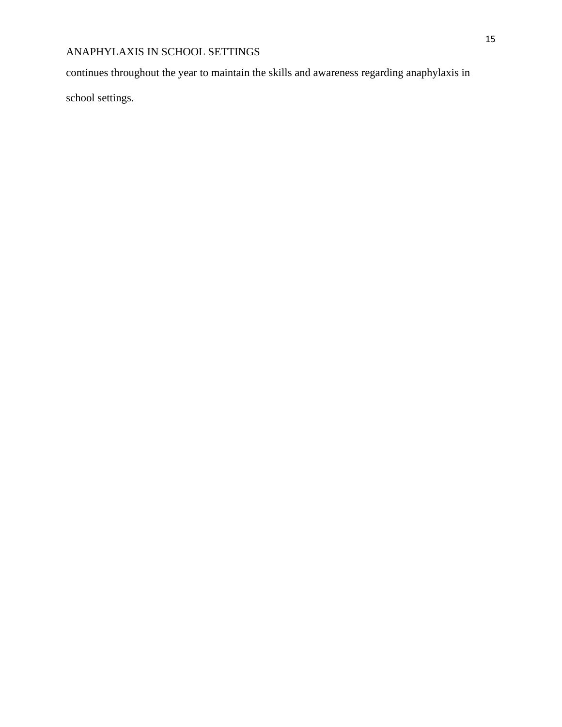continues throughout the year to maintain the skills and awareness regarding anaphylaxis in

school settings.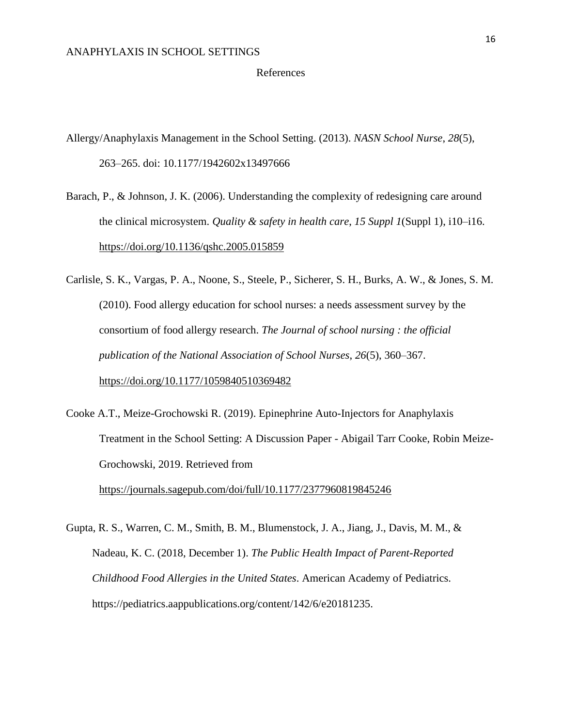#### References

Allergy/Anaphylaxis Management in the School Setting. (2013). *NASN School Nurse*, *28*(5), 263–265. doi: 10.1177/1942602x13497666

- Barach, P., & Johnson, J. K. (2006). Understanding the complexity of redesigning care around the clinical microsystem. *Quality & safety in health care*, *15 Suppl 1*(Suppl 1), i10–i16. <https://doi.org/10.1136/qshc.2005.015859>
- Carlisle, S. K., Vargas, P. A., Noone, S., Steele, P., Sicherer, S. H., Burks, A. W., & Jones, S. M. (2010). Food allergy education for school nurses: a needs assessment survey by the consortium of food allergy research. *The Journal of school nursing : the official publication of the National Association of School Nurses*, *26*(5), 360–367. <https://doi.org/10.1177/1059840510369482>
- Cooke A.T., Meize-Grochowski R. (2019). Epinephrine Auto-Injectors for Anaphylaxis Treatment in the School Setting: A Discussion Paper - Abigail Tarr Cooke, Robin Meize-Grochowski, 2019. Retrieved from <https://journals.sagepub.com/doi/full/10.1177/2377960819845246>
- Gupta, R. S., Warren, C. M., Smith, B. M., Blumenstock, J. A., Jiang, J., Davis, M. M., & Nadeau, K. C. (2018, December 1). *The Public Health Impact of Parent-Reported Childhood Food Allergies in the United States*. American Academy of Pediatrics. https://pediatrics.aappublications.org/content/142/6/e20181235.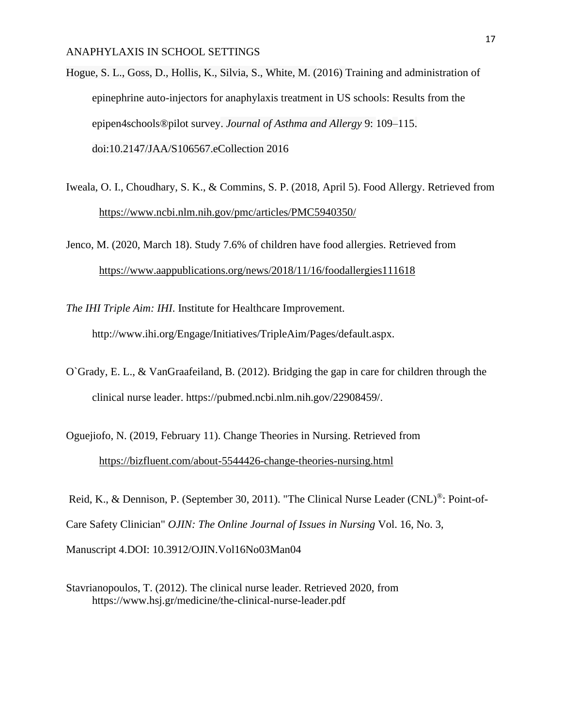Hogue, S. L., Goss, D., Hollis, K., Silvia, S., White, M. (2016) Training and administration of epinephrine auto-injectors for anaphylaxis treatment in US schools: Results from the epipen4schools®pilot survey. *Journal of Asthma and Allergy* 9: 109–115. doi:10.2147/JAA/S106567.eCollection 2016

- Iweala, O. I., Choudhary, S. K., & Commins, S. P. (2018, April 5). Food Allergy. Retrieved from <https://www.ncbi.nlm.nih.gov/pmc/articles/PMC5940350/>
- Jenco, M. (2020, March 18). Study 7.6% of children have food allergies. Retrieved from <https://www.aappublications.org/news/2018/11/16/foodallergies111618>
- *The IHI Triple Aim: IHI*. Institute for Healthcare Improvement. http://www.ihi.org/Engage/Initiatives/TripleAim/Pages/default.aspx.
- O`Grady, E. L., & VanGraafeiland, B. (2012). Bridging the gap in care for children through the clinical nurse leader. https://pubmed.ncbi.nlm.nih.gov/22908459/.
- Oguejiofo, N. (2019, February 11). Change Theories in Nursing. Retrieved from <https://bizfluent.com/about-5544426-change-theories-nursing.html>

Reid, K., & Dennison, P. (September 30, 2011). "The Clinical Nurse Leader (CNL)®: Point-of-Care Safety Clinician" *OJIN: The Online Journal of Issues in Nursing* Vol. 16, No. 3, Manuscript 4.DOI: 10.3912/OJIN.Vol16No03Man04

Stavrianopoulos, T. (2012). The clinical nurse leader. Retrieved 2020, from https://www.hsj.gr/medicine/the-clinical-nurse-leader.pdf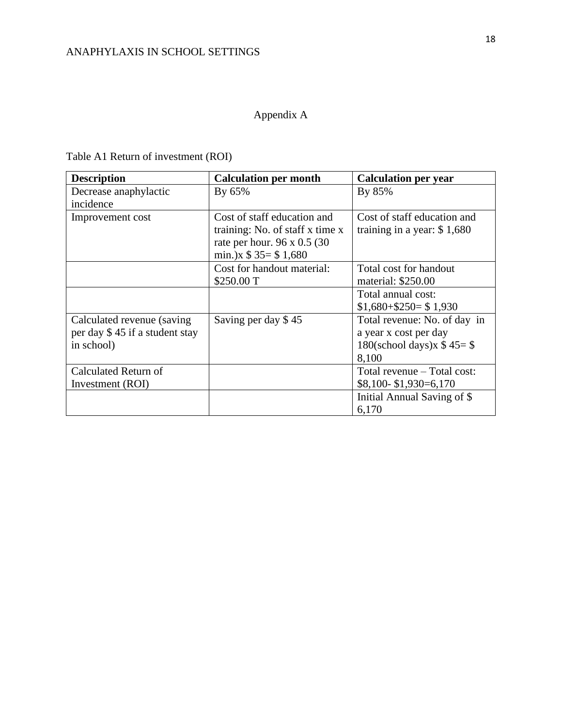## Appendix A

Table A1 Return of investment (ROI)

| <b>Description</b>             | <b>Calculation per month</b>    | <b>Calculation per year</b>  |
|--------------------------------|---------------------------------|------------------------------|
| Decrease anaphylactic          | By 65%                          | By 85%                       |
| incidence                      |                                 |                              |
| Improvement cost               | Cost of staff education and     | Cost of staff education and  |
|                                | training: No. of staff x time x | training in a year: $$1,680$ |
|                                | rate per hour. 96 x 0.5 (30)    |                              |
|                                | min.) $x $ 35 = $ 1,680$        |                              |
|                                | Cost for handout material:      | Total cost for handout       |
|                                | \$250.00 T                      | material: \$250.00           |
|                                |                                 | Total annual cost:           |
|                                |                                 | $$1,680 + $250 = $1,930$     |
| Calculated revenue (saving)    | Saving per day \$45             | Total revenue: No. of day in |
| per day \$45 if a student stay |                                 | a year x cost per day        |
| in school)                     |                                 | 180(school days) $x$ \$45=\$ |
|                                |                                 | 8,100                        |
| Calculated Return of           |                                 | Total revenue – Total cost:  |
| Investment (ROI)               |                                 | $$8,100 - $1,930 = 6,170$    |
|                                |                                 | Initial Annual Saving of \$  |
|                                |                                 | 6,170                        |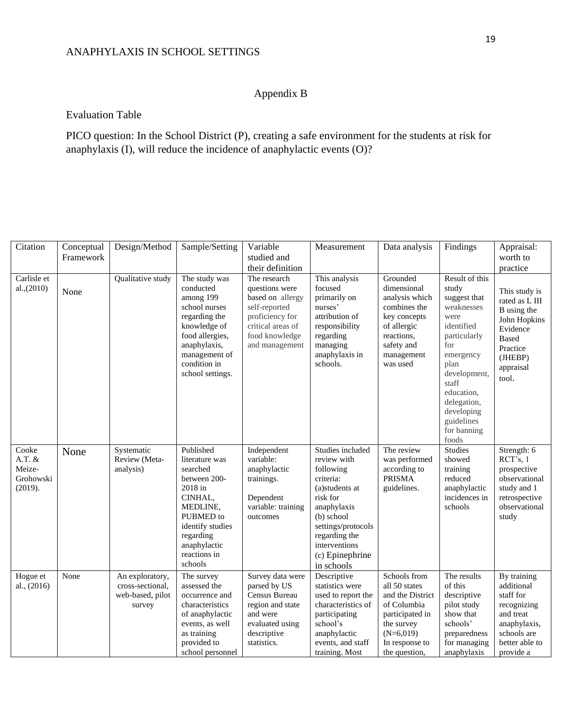## Appendix B

#### Evaluation Table

PICO question: In the School District (P), creating a safe environment for the students at risk for anaphylaxis (I), will reduce the incidence of anaphylactic events (O)?

| Citation                                            | Conceptual<br>Framework | Design/Method                                                     | Sample/Setting                                                                                                                                                                     | Variable<br>studied and<br>their definition                                                                                                     | Measurement                                                                                                                                                                                                   | Data analysis                                                                                                                                       | Findings                                                                                                                                                                                                                          | Appraisal:<br>worth to<br>practice                                                                                                      |
|-----------------------------------------------------|-------------------------|-------------------------------------------------------------------|------------------------------------------------------------------------------------------------------------------------------------------------------------------------------------|-------------------------------------------------------------------------------------------------------------------------------------------------|---------------------------------------------------------------------------------------------------------------------------------------------------------------------------------------------------------------|-----------------------------------------------------------------------------------------------------------------------------------------------------|-----------------------------------------------------------------------------------------------------------------------------------------------------------------------------------------------------------------------------------|-----------------------------------------------------------------------------------------------------------------------------------------|
| Carlisle et<br>al., (2010)                          | None                    | Qualitative study                                                 | The study was<br>conducted<br>among 199<br>school nurses<br>regarding the<br>knowledge of<br>food allergies,<br>anaphylaxis,<br>management of<br>condition in<br>school settings.  | The research<br>questions were<br>based on allergy<br>self-reported<br>proficiency for<br>critical areas of<br>food knowledge<br>and management | This analysis<br>$\operatorname{focused}$<br>primarily on<br>nurses'<br>attribution of<br>responsibility<br>regarding<br>managing<br>anaphylaxis in<br>schools.                                               | Grounded<br>dimensional<br>analysis which<br>combines the<br>key concepts<br>of allergic<br>reactions,<br>safety and<br>management<br>was used      | Result of this<br>study<br>suggest that<br>weaknesses<br>were<br>identified<br>particularly<br>for<br>emergency<br>plan<br>development,<br>staff<br>education,<br>delegation,<br>developing<br>guidelines<br>for banning<br>foods | This study is<br>rated as L III<br>B using the<br>John Hopkins<br>Evidence<br><b>Based</b><br>Practice<br>(JHEBP)<br>appraisal<br>tool. |
| Cooke<br>$A.T.$ &<br>Meize-<br>Grohowski<br>(2019). | None                    | Systematic<br>Review (Meta-<br>analysis)                          | Published<br>literature was<br>searched<br>between 200-<br>2018 in<br>CINHAL,<br>MEDLINE,<br>PUBMED to<br>identify studies<br>regarding<br>anaphylactic<br>reactions in<br>schools | Independent<br>variable:<br>anaphylactic<br>trainings.<br>Dependent<br>variable: training<br>outcomes                                           | Studies included<br>review with<br>following<br>criteria:<br>(a)students at<br>risk for<br>anaphylaxis<br>(b) school<br>settings/protocols<br>regarding the<br>interventions<br>(c) Epinephrine<br>in schools | The review<br>was performed<br>according to<br><b>PRISMA</b><br>guidelines.                                                                         | Studies<br>showed<br>training<br>reduced<br>anaphylactic<br>incidences in<br>schools                                                                                                                                              | Strength: 6<br>RCT's, 1<br>prospective<br>observational<br>study and 1<br>retrospective<br>observational<br>study                       |
| Hogue et<br>al., (2016)                             | None                    | An exploratory,<br>cross-sectional,<br>web-based, pilot<br>survey | The survey<br>assessed the<br>occurrence and<br>characteristics<br>of anaphylactic<br>events, as well<br>as training<br>provided to<br>school personnel                            | Survey data were<br>parsed by US<br>Census Bureau<br>region and state<br>and were<br>evaluated using<br>descriptive<br>statistics.              | Descriptive<br>statistics were<br>used to report the<br>characteristics of<br>participating<br>school's<br>anaphylactic<br>events, and staff<br>training. Most                                                | Schools from<br>all 50 states<br>and the District<br>of Columbia<br>participated in<br>the survey<br>$(N=6,019)$<br>In response to<br>the question, | The results<br>of this<br>descriptive<br>pilot study<br>show that<br>schools'<br>preparedness<br>for managing<br>anaphylaxis                                                                                                      | By training<br>additional<br>staff for<br>recognizing<br>and treat<br>anaphylaxis,<br>schools are<br>better able to<br>provide a        |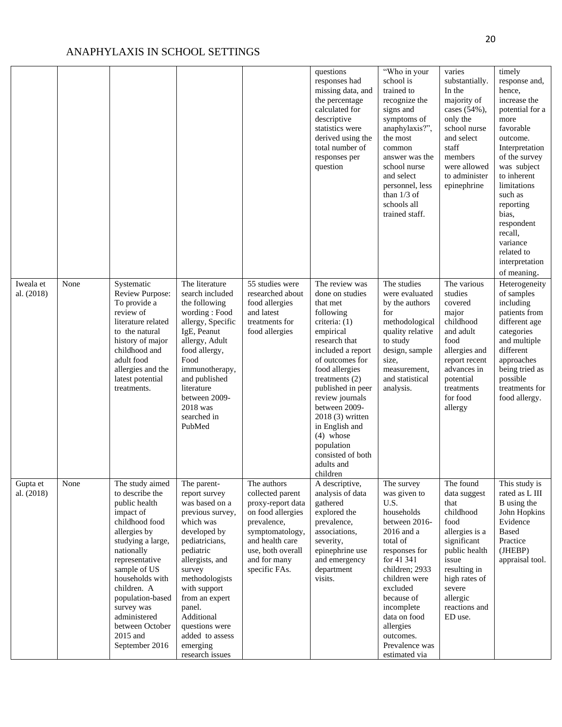|                         |      |                                                                                                                                                                                                                                                                                                              |                                                                                                                                                                                                                                                                                                             |                                                                                                                                                                                      | questions<br>responses had<br>missing data, and<br>the percentage<br>calculated for<br>descriptive<br>statistics were<br>derived using the<br>total number of<br>responses per<br>question                                                                                                                                                                            | "Who in your<br>school is<br>trained to<br>recognize the<br>signs and<br>symptoms of<br>anaphylaxis?",<br>the most<br>common<br>answer was the<br>school nurse<br>and select<br>personnel, less<br>than $1/3$ of<br>schools all<br>trained staff.                                  | varies<br>substantially.<br>In the<br>majority of<br>cases (54%),<br>only the<br>school nurse<br>and select<br>staff<br>members<br>were allowed<br>to administer<br>epinephrine                      | timely<br>response and,<br>hence,<br>increase the<br>potential for a<br>more<br>favorable<br>outcome.<br>Interpretation<br>of the survey<br>was subject<br>to inherent<br>limitations<br>such as<br>reporting<br>bias,<br>respondent<br>recall,<br>variance<br>related to<br>interpretation<br>of meaning. |
|-------------------------|------|--------------------------------------------------------------------------------------------------------------------------------------------------------------------------------------------------------------------------------------------------------------------------------------------------------------|-------------------------------------------------------------------------------------------------------------------------------------------------------------------------------------------------------------------------------------------------------------------------------------------------------------|--------------------------------------------------------------------------------------------------------------------------------------------------------------------------------------|-----------------------------------------------------------------------------------------------------------------------------------------------------------------------------------------------------------------------------------------------------------------------------------------------------------------------------------------------------------------------|------------------------------------------------------------------------------------------------------------------------------------------------------------------------------------------------------------------------------------------------------------------------------------|------------------------------------------------------------------------------------------------------------------------------------------------------------------------------------------------------|------------------------------------------------------------------------------------------------------------------------------------------------------------------------------------------------------------------------------------------------------------------------------------------------------------|
| Iweala et<br>al. (2018) | None | Systematic<br><b>Review Purpose:</b><br>To provide a<br>review of<br>literature related<br>to the natural<br>history of major<br>childhood and<br>adult food<br>allergies and the<br>latest potential<br>treatments.                                                                                         | The literature<br>search included<br>the following<br>wording: Food<br>allergy, Specific<br>IgE, Peanut<br>allergy, Adult<br>food allergy,<br>Food<br>immunotherapy,<br>and published<br>literature<br>between 2009-<br>2018 was<br>searched in<br>PubMed                                                   | 55 studies were<br>researched about<br>food allergies<br>and latest<br>treatments for<br>food allergies                                                                              | The review was<br>done on studies<br>that met<br>following<br>criteria: $(1)$<br>empirical<br>research that<br>included a report<br>of outcomes for<br>food allergies<br>treatments $(2)$<br>published in peer<br>review journals<br>between 2009-<br>$2018(3)$ written<br>in English and<br>$(4)$ whose<br>population<br>consisted of both<br>adults and<br>children | The studies<br>were evaluated<br>by the authors<br>for<br>methodological<br>quality relative<br>to study<br>design, sample<br>size,<br>measurement,<br>and statistical<br>analysis.                                                                                                | The various<br>studies<br>covered<br>major<br>childhood<br>and adult<br>food<br>allergies and<br>report recent<br>advances in<br>potential<br>treatments<br>for food<br>allergy                      | Heterogeneity<br>of samples<br>including<br>patients from<br>different age<br>categories<br>and multiple<br>different<br>approaches<br>being tried as<br>possible<br>treatments for<br>food allergy.                                                                                                       |
| Gupta et<br>al. (2018)  | None | The study aimed<br>to describe the<br>public health<br>impact of<br>childhood food<br>allergies by<br>studying a large,<br>nationally<br>representative<br>sample of US<br>households with<br>children. A<br>population-based<br>survey was<br>administered<br>between October<br>2015 and<br>September 2016 | The parent-<br>report survey<br>was based on a<br>previous survey,<br>which was<br>developed by<br>pediatricians,<br>pediatric<br>allergists, and<br>survey<br>methodologists<br>with support<br>from an expert<br>panel.<br>Additional<br>questions were<br>added to assess<br>emerging<br>research issues | The authors<br>collected parent<br>proxy-report data<br>on food allergies<br>prevalence,<br>symptomatology,<br>and health care<br>use, both overall<br>and for many<br>specific FAs. | A descriptive,<br>analysis of data<br>gathered<br>explored the<br>prevalence,<br>associations,<br>severity,<br>epinephrine use<br>and emergency<br>department<br>visits.                                                                                                                                                                                              | The survey<br>was given to<br>U.S.<br>households<br>between 2016-<br>2016 and a<br>total of<br>responses for<br>for 41 341<br>children; 2933<br>children were<br>excluded<br>because of<br>incomplete<br>data on food<br>allergies<br>outcomes.<br>Prevalence was<br>estimated via | The found<br>data suggest<br>that<br>childhood<br>food<br>allergies is a<br>significant<br>public health<br>issue<br>resulting in<br>high rates of<br>severe<br>allergic<br>reactions and<br>ED use. | This study is<br>rated as L III<br>B using the<br>John Hopkins<br>Evidence<br><b>Based</b><br>Practice<br>(JHEBP)<br>appraisal tool.                                                                                                                                                                       |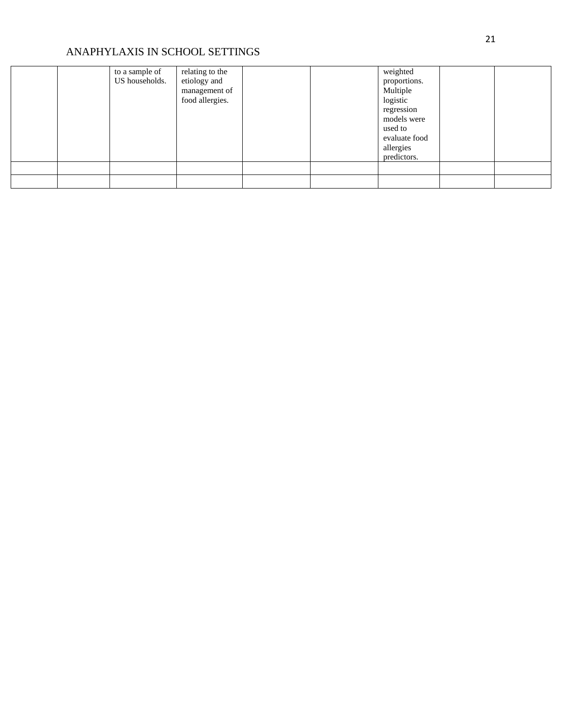|  | to a sample of<br>US households. | relating to the<br>etiology and<br>management of<br>food allergies. |  | weighted<br>proportions.<br>Multiple<br>logistic<br>regression<br>models were<br>used to<br>evaluate food<br>allergies<br>predictors. |  |
|--|----------------------------------|---------------------------------------------------------------------|--|---------------------------------------------------------------------------------------------------------------------------------------|--|
|  |                                  |                                                                     |  |                                                                                                                                       |  |
|  |                                  |                                                                     |  |                                                                                                                                       |  |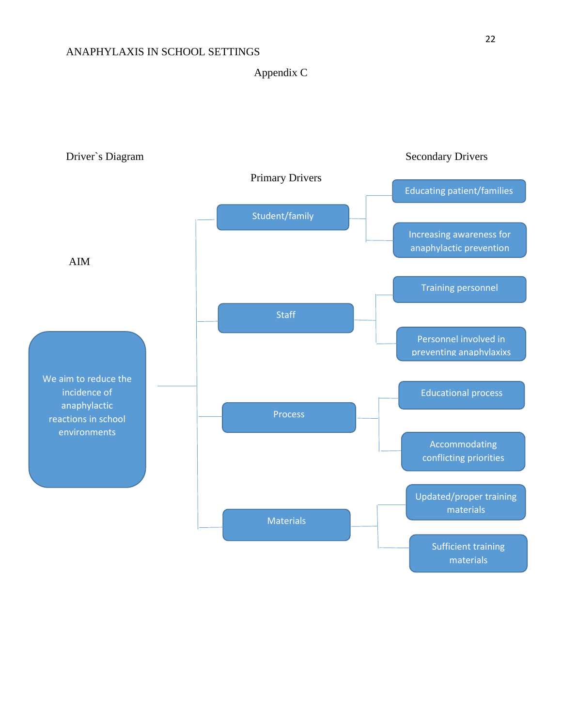Appendix C

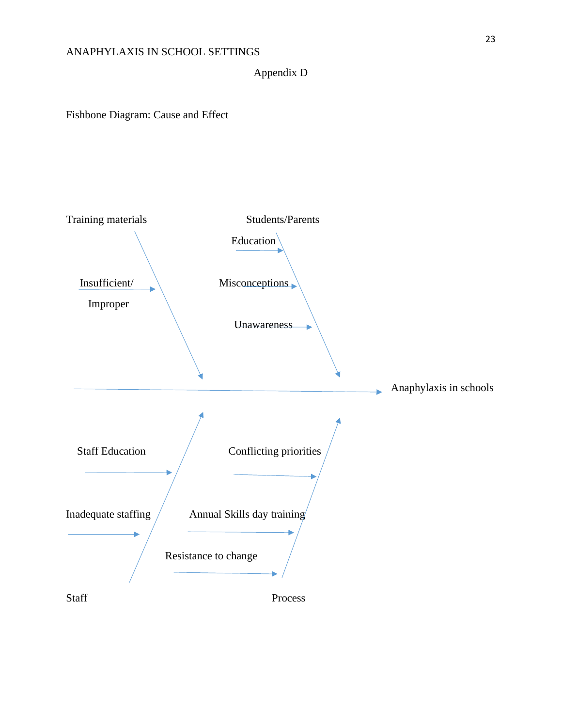Appendix D

Fishbone Diagram: Cause and Effect

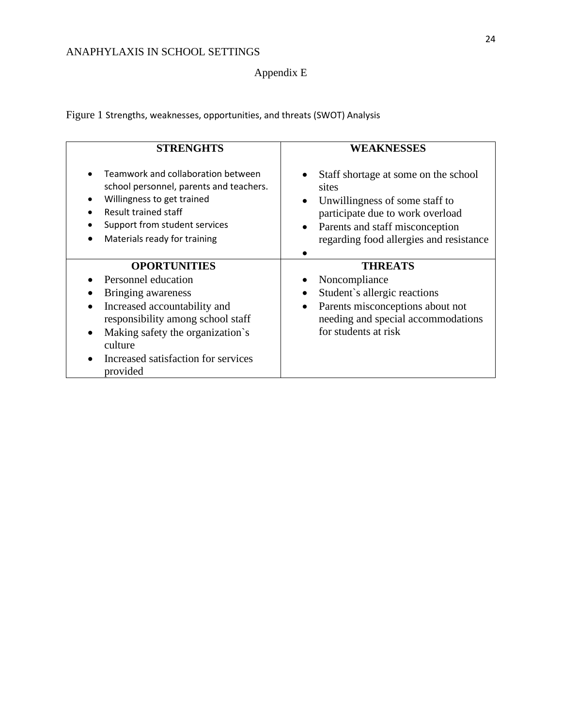## Appendix E

Figure 1 Strengths, weaknesses, opportunities, and threats (SWOT) Analysis

| <b>STRENGHTS</b>                                                                                                                                                                                                 | <b>WEAKNESSES</b>                                                                                                                                                                                                           |
|------------------------------------------------------------------------------------------------------------------------------------------------------------------------------------------------------------------|-----------------------------------------------------------------------------------------------------------------------------------------------------------------------------------------------------------------------------|
| Teamwork and collaboration between<br>school personnel, parents and teachers.<br>Willingness to get trained<br>٠<br><b>Result trained staff</b><br>Support from student services<br>Materials ready for training | Staff shortage at some on the school<br>sites<br>Unwillingness of some staff to<br>$\bullet$<br>participate due to work overload<br>Parents and staff misconception<br>$\bullet$<br>regarding food allergies and resistance |
| <b>OPORTUNITIES</b>                                                                                                                                                                                              | <b>THREATS</b>                                                                                                                                                                                                              |
| Personnel education                                                                                                                                                                                              | Noncompliance                                                                                                                                                                                                               |
| Bringing awareness                                                                                                                                                                                               | Student's allergic reactions<br>$\bullet$                                                                                                                                                                                   |
| Increased accountability and<br>responsibility among school staff<br>Making safety the organization's<br>$\bullet$                                                                                               | Parents misconceptions about not<br>$\bullet$<br>needing and special accommodations<br>for students at risk                                                                                                                 |
| culture                                                                                                                                                                                                          |                                                                                                                                                                                                                             |
| Increased satisfaction for services<br>provided                                                                                                                                                                  |                                                                                                                                                                                                                             |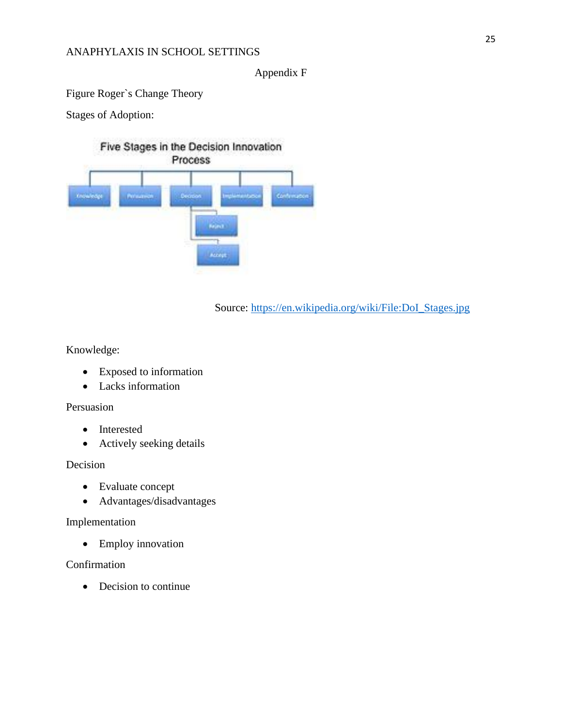#### Appendix F

Figure Roger`s Change Theory

Stages of Adoption:

Five Stages in the Decision Innovation Process General **Province Designal Gunt Acres** 

Source: [https://en.wikipedia.org/wiki/File:DoI\\_Stages.jpg](https://en.wikipedia.org/wiki/File:DoI_Stages.jpg)

Knowledge:

- Exposed to information
- Lacks information

#### Persuasion

- Interested
- Actively seeking details

Decision

- Evaluate concept
- Advantages/disadvantages

### Implementation

• Employ innovation

Confirmation

• Decision to continue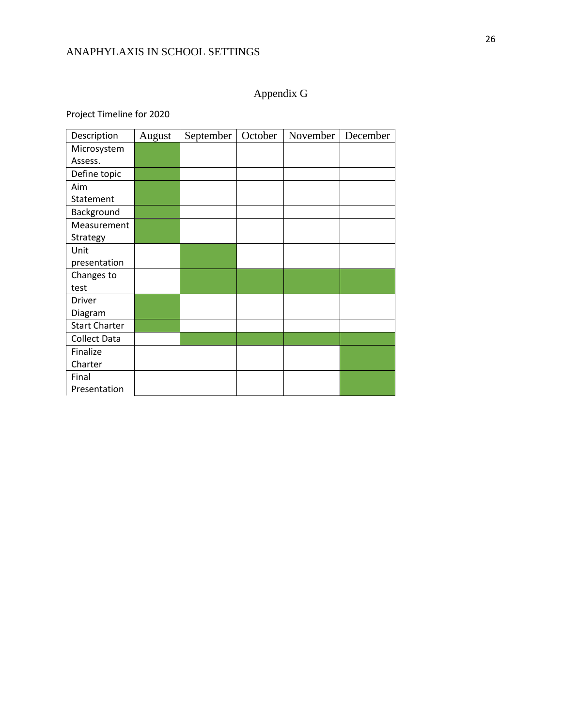# Appendix G

Project Timeline for 2020

| Description          | August | September | October | November | December |
|----------------------|--------|-----------|---------|----------|----------|
| Microsystem          |        |           |         |          |          |
| Assess.              |        |           |         |          |          |
| Define topic         |        |           |         |          |          |
| Aim                  |        |           |         |          |          |
| Statement            |        |           |         |          |          |
| Background           |        |           |         |          |          |
| Measurement          |        |           |         |          |          |
| Strategy             |        |           |         |          |          |
| Unit                 |        |           |         |          |          |
| presentation         |        |           |         |          |          |
| Changes to           |        |           |         |          |          |
| test                 |        |           |         |          |          |
| Driver               |        |           |         |          |          |
| Diagram              |        |           |         |          |          |
| <b>Start Charter</b> |        |           |         |          |          |
| <b>Collect Data</b>  |        |           |         |          |          |
| Finalize             |        |           |         |          |          |
| Charter              |        |           |         |          |          |
| Final                |        |           |         |          |          |
| Presentation         |        |           |         |          |          |